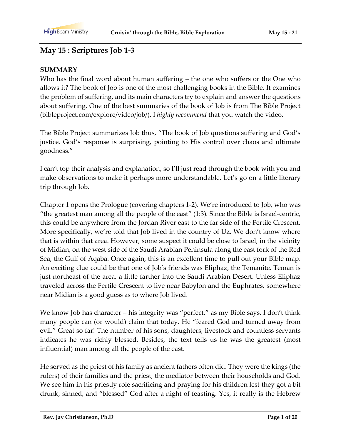## **May 15 : Scriptures Job 1-3**

#### **SUMMARY**

Who has the final word about human suffering – the one who suffers or the One who allows it? The book of Job is one of the most challenging books in the Bible. It examines the problem of suffering, and its main characters try to explain and answer the questions about suffering. One of the best summaries of the book of Job is from The Bible Project (bibleproject.com/explore/video/job/). I *highly recommend* that you watch the video.

The Bible Project summarizes Job thus, "The book of Job questions suffering and God's justice. God's response is surprising, pointing to His control over chaos and ultimate goodness."

I can't top their analysis and explanation, so I'll just read through the book with you and make observations to make it perhaps more understandable. Let's go on a little literary trip through Job.

Chapter 1 opens the Prologue (covering chapters 1-2). We're introduced to Job, who was "the greatest man among all the people of the east" (1:3). Since the Bible is Israel-centric, this could be anywhere from the Jordan River east to the far side of the Fertile Crescent. More specifically, we're told that Job lived in the country of Uz. We don't know where that is within that area. However, some suspect it could be close to Israel, in the vicinity of Midian, on the west side of the Saudi Arabian Peninsula along the east fork of the Red Sea, the Gulf of Aqaba. Once again, this is an excellent time to pull out your Bible map. An exciting clue could be that one of Job's friends was Eliphaz, the Temanite. Teman is just northeast of the area, a little farther into the Saudi Arabian Desert. Unless Eliphaz traveled across the Fertile Crescent to live near Babylon and the Euphrates, somewhere near Midian is a good guess as to where Job lived.

We know Job has character – his integrity was "perfect," as my Bible says. I don't think many people can (or would) claim that today. He "feared God and turned away from evil." Great so far! The number of his sons, daughters, livestock and countless servants indicates he was richly blessed. Besides, the text tells us he was the greatest (most influential) man among all the people of the east.

He served as the priest of his family as ancient fathers often did. They were the kings (the rulers) of their families and the priest, the mediator between their households and God. We see him in his priestly role sacrificing and praying for his children lest they got a bit drunk, sinned, and "blessed" God after a night of feasting. Yes, it really is the Hebrew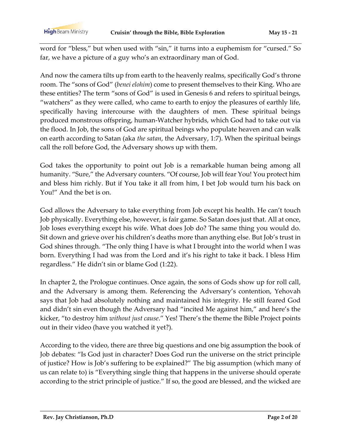word for "bless," but when used with "sin," it turns into a euphemism for "cursed." So far, we have a picture of a guy who's an extraordinary man of God.

And now the camera tilts up from earth to the heavenly realms, specifically God's throne room. The "sons of God" (*benei elohim*) come to present themselves to their King. Who are these entities? The term "sons of God" is used in Genesis 6 and refers to spiritual beings, "watchers" as they were called, who came to earth to enjoy the pleasures of earthly life, specifically having intercourse with the daughters of men. These spiritual beings produced monstrous offspring, human-Watcher hybrids, which God had to take out via the flood. In Job, the sons of God are spiritual beings who populate heaven and can walk on earth according to Satan (aka *the satan*, the Adversary, 1:7). When the spiritual beings call the roll before God, the Adversary shows up with them.

God takes the opportunity to point out Job is a remarkable human being among all humanity. "Sure," the Adversary counters. "Of course, Job will fear You! You protect him and bless him richly. But if You take it all from him, I bet Job would turn his back on You!" And the bet is on.

God allows the Adversary to take everything from Job except his health. He can't touch Job physically. Everything else, however, is fair game. So Satan does just that. All at once, Job loses everything except his wife. What does Job do? The same thing you would do. Sit down and grieve over his children's deaths more than anything else. But Job's trust in God shines through. "The only thing I have is what I brought into the world when I was born. Everything I had was from the Lord and it's his right to take it back. I bless Him regardless." He didn't sin or blame God (1:22).

In chapter 2, the Prologue continues. Once again, the sons of Gods show up for roll call, and the Adversary is among them. Referencing the Adversary's contention, Yehovah says that Job had absolutely nothing and maintained his integrity. He still feared God and didn't sin even though the Adversary had "incited Me against him," and here's the kicker, "to destroy him *without just cause*." Yes! There's the theme the Bible Project points out in their video (have you watched it yet?).

According to the video, there are three big questions and one big assumption the book of Job debates: "Is God just in character? Does God run the universe on the strict principle of justice? How is Job's suffering to be explained?" The big assumption (which many of us can relate to) is "Everything single thing that happens in the universe should operate according to the strict principle of justice." If so, the good are blessed, and the wicked are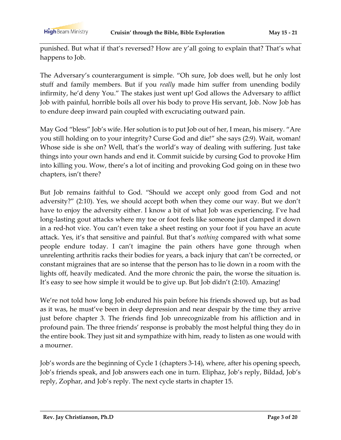punished. But what if that's reversed? How are y'all going to explain that? That's what happens to Job.

The Adversary's counterargument is simple. "Oh sure, Job does well, but he only lost stuff and family members. But if you *really* made him suffer from unending bodily infirmity, he'd deny You." The stakes just went up! God allows the Adversary to afflict Job with painful, horrible boils all over his body to prove His servant, Job. Now Job has to endure deep inward pain coupled with excruciating outward pain.

May God "bless" Job's wife. Her solution is to put Job out of her, I mean, his misery. "Are you still holding on to your integrity? Curse God and die!" she says (2:9). Wait, woman! Whose side is she on? Well, that's the world's way of dealing with suffering. Just take things into your own hands and end it. Commit suicide by cursing God to provoke Him into killing you. Wow, there's a lot of inciting and provoking God going on in these two chapters, isn't there?

But Job remains faithful to God. "Should we accept only good from God and not adversity?" (2:10). Yes, we should accept both when they come our way. But we don't have to enjoy the adversity either. I know a bit of what Job was experiencing. I've had long-lasting gout attacks where my toe or foot feels like someone just clamped it down in a red-hot vice. You can't even take a sheet resting on your foot if you have an acute attack. Yes, it's that sensitive and painful. But that's *nothing* compared with what some people endure today. I can't imagine the pain others have gone through when unrelenting arthritis racks their bodies for years, a back injury that can't be corrected, or constant migraines that are so intense that the person has to lie down in a room with the lights off, heavily medicated. And the more chronic the pain, the worse the situation is. It's easy to see how simple it would be to give up. But Job didn't (2:10). Amazing!

We're not told how long Job endured his pain before his friends showed up, but as bad as it was, he must've been in deep depression and near despair by the time they arrive just before chapter 3. The friends find Job unrecognizable from his affliction and in profound pain. The three friends' response is probably the most helpful thing they do in the entire book. They just sit and sympathize with him, ready to listen as one would with a mourner.

Job's words are the beginning of Cycle 1 (chapters 3-14), where, after his opening speech, Job's friends speak, and Job answers each one in turn. Eliphaz, Job's reply, Bildad, Job's reply, Zophar, and Job's reply. The next cycle starts in chapter 15.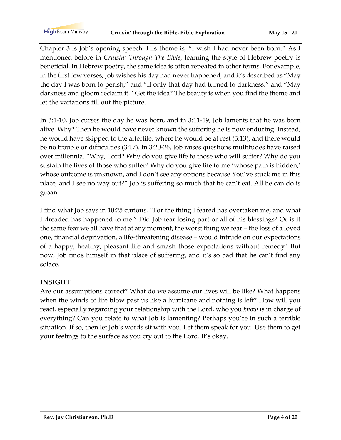**High** Beam Ministry

Chapter 3 is Job's opening speech. His theme is, "I wish I had never been born." As I mentioned before in *Cruisin' Through The Bible*, learning the style of Hebrew poetry is beneficial. In Hebrew poetry, the same idea is often repeated in other terms. For example, in the first few verses, Job wishes his day had never happened, and it's described as "May the day I was born to perish," and "If only that day had turned to darkness," and "May darkness and gloom reclaim it." Get the idea? The beauty is when you find the theme and let the variations fill out the picture.

In 3:1-10, Job curses the day he was born, and in 3:11-19, Job laments that he was born alive. Why? Then he would have never known the suffering he is now enduring. Instead, he would have skipped to the afterlife, where he would be at rest (3:13), and there would be no trouble or difficulties (3:17). In 3:20-26, Job raises questions multitudes have raised over millennia. "Why, Lord? Why do you give life to those who will suffer? Why do you sustain the lives of those who suffer? Why do you give life to me 'whose path is hidden,' whose outcome is unknown, and I don't see any options because You've stuck me in this place, and I see no way out?" Job is suffering so much that he can't eat. All he can do is groan.

I find what Job says in 10:25 curious. "For the thing I feared has overtaken me, and what I dreaded has happened to me." Did Job fear losing part or all of his blessings? Or is it the same fear we all have that at any moment, the worst thing we fear – the loss of a loved one, financial deprivation, a life-threatening disease – would intrude on our expectations of a happy, healthy, pleasant life and smash those expectations without remedy? But now, Job finds himself in that place of suffering, and it's so bad that he can't find any solace.

### **INSIGHT**

Are our assumptions correct? What do we assume our lives will be like? What happens when the winds of life blow past us like a hurricane and nothing is left? How will you react, especially regarding your relationship with the Lord, who you *know* is in charge of everything? Can you relate to what Job is lamenting? Perhaps you're in such a terrible situation. If so, then let Job's words sit with you. Let them speak for you. Use them to get your feelings to the surface as you cry out to the Lord. It's okay.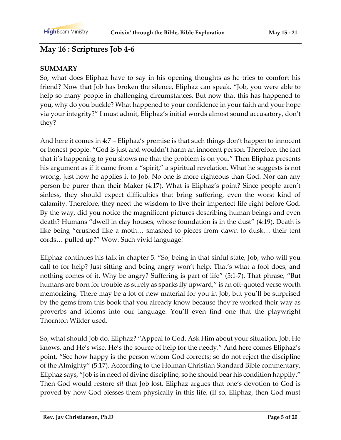## **May 16 : Scriptures Job 4-6**

### **SUMMARY**

So, what does Eliphaz have to say in his opening thoughts as he tries to comfort his friend? Now that Job has broken the silence, Eliphaz can speak. "Job, you were able to help so many people in challenging circumstances. But now that this has happened to you, why do you buckle? What happened to your confidence in your faith and your hope via your integrity?" I must admit, Eliphaz's initial words almost sound accusatory, don't they?

And here it comes in 4:7 – Eliphaz's premise is that such things don't happen to innocent or honest people. "God is just and wouldn't harm an innocent person. Therefore, the fact that it's happening to you shows me that the problem is on you." Then Eliphaz presents his argument as if it came from a "spirit," a spiritual revelation. What he suggests is not wrong, just how he applies it to Job. No one is more righteous than God. Nor can any person be purer than their Maker (4:17). What is Eliphaz's point? Since people aren't sinless, they should expect difficulties that bring suffering, even the worst kind of calamity. Therefore, they need the wisdom to live their imperfect life right before God. By the way, did you notice the magnificent pictures describing human beings and even death? Humans "dwell in clay houses, whose foundation is in the dust" (4:19). Death is like being "crushed like a moth… smashed to pieces from dawn to dusk… their tent cords… pulled up?" Wow. Such vivid language!

Eliphaz continues his talk in chapter 5. "So, being in that sinful state, Job, who will you call to for help? Just sitting and being angry won't help. That's what a fool does, and nothing comes of it. Why be angry? Suffering is part of life" (5:1-7). That phrase, "But humans are born for trouble as surely as sparks fly upward," is an oft-quoted verse worth memorizing. There may be a lot of new material for you in Job, but you'll be surprised by the gems from this book that you already know because they're worked their way as proverbs and idioms into our language. You'll even find one that the playwright Thornton Wilder used.

So, what should Job do, Eliphaz? "Appeal to God. Ask Him about your situation, Job. He knows, and He's wise. He's the source of help for the needy." And here comes Eliphaz's point, "See how happy is the person whom God corrects; so do not reject the discipline of the Almighty" (5:17). According to the Holman Christian Standard Bible commentary, Eliphaz says, "Job is in need of divine discipline, so he should bear his condition happily." Then God would restore *all* that Job lost. Eliphaz argues that one's devotion to God is proved by how God blesses them physically in this life. (If so, Eliphaz, then God must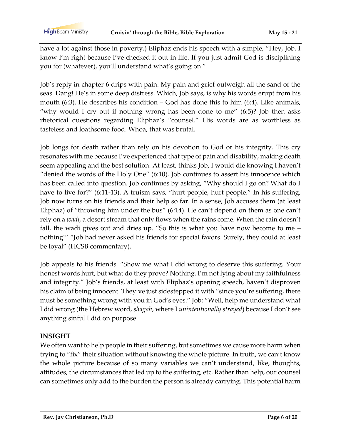have a lot against those in poverty.) Eliphaz ends his speech with a simple, "Hey, Job. I know I'm right because I've checked it out in life. If you just admit God is disciplining you for (whatever), you'll understand what's going on."

Job's reply in chapter 6 drips with pain. My pain and grief outweigh all the sand of the seas. Dang! He's in some deep distress. Which, Job says, is why his words erupt from his mouth (6:3). He describes his condition – God has done this to him (6:4). Like animals, "why would I cry out if nothing wrong has been done to me" (6:5)? Job then asks rhetorical questions regarding Eliphaz's "counsel." His words are as worthless as tasteless and loathsome food. Whoa, that was brutal.

Job longs for death rather than rely on his devotion to God or his integrity. This cry resonates with me because I've experienced that type of pain and disability, making death seem appealing and the best solution. At least, thinks Job, I would die knowing I haven't "denied the words of the Holy One" (6:10). Job continues to assert his innocence which has been called into question. Job continues by asking, "Why should I go on? What do I have to live for?" (6:11-13). A truism says, "hurt people, hurt people." In his suffering, Job now turns on his friends and their help so far. In a sense, Job accuses them (at least Eliphaz) of "throwing him under the bus" (6:14). He can't depend on them as one can't rely on a *wadi*, a desert stream that only flows when the rains come. When the rain doesn't fall, the wadi gives out and dries up. "So this is what you have now become to me – nothing!" "Job had never asked his friends for special favors. Surely, they could at least be loyal" (HCSB commentary).

Job appeals to his friends. "Show me what I did wrong to deserve this suffering. Your honest words hurt, but what do they prove? Nothing. I'm not lying about my faithfulness and integrity." Job's friends, at least with Eliphaz's opening speech, haven't disproven his claim of being innocent. They've just sidestepped it with "since you're suffering, there must be something wrong with you in God's eyes." Job: "Well, help me understand what I did wrong (the Hebrew word, *shagah*, where I *unintentionally strayed*) because I don't see anything sinful I did on purpose.

### **INSIGHT**

We often want to help people in their suffering, but sometimes we cause more harm when trying to "fix" their situation without knowing the whole picture. In truth, we can't know the whole picture because of so many variables we can't understand, like, thoughts, attitudes, the circumstances that led up to the suffering, etc. Rather than help, our counsel can sometimes only add to the burden the person is already carrying. This potential harm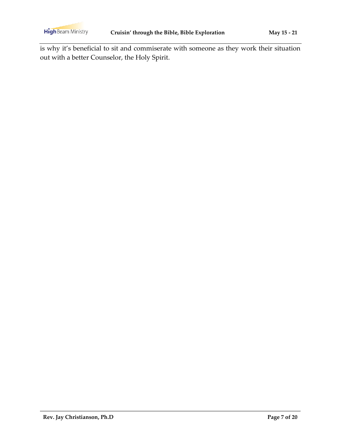is why it's beneficial to sit and commiserate with someone as they work their situation out with a better Counselor, the Holy Spirit.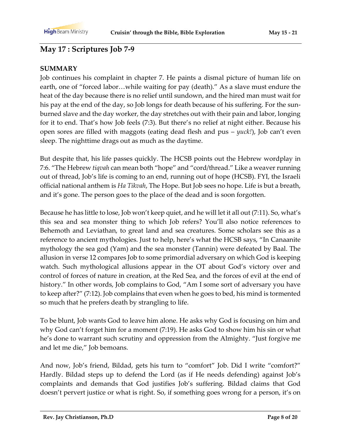## **May 17 : Scriptures Job 7-9**

#### **SUMMARY**

Job continues his complaint in chapter 7. He paints a dismal picture of human life on earth, one of "forced labor…while waiting for pay (death)." As a slave must endure the heat of the day because there is no relief until sundown, and the hired man must wait for his pay at the end of the day, so Job longs for death because of his suffering. For the sunburned slave and the day worker, the day stretches out with their pain and labor, longing for it to end. That's how Job feels (7:3). But there's no relief at night either. Because his open sores are filled with maggots (eating dead flesh and pus – *yuck!*), Job can't even sleep. The nighttime drags out as much as the daytime.

But despite that, his life passes quickly. The HCSB points out the Hebrew wordplay in 7:6. "The Hebrew *tiqvah* can mean both "hope" and "cord/thread." Like a weaver running out of thread, Job's life is coming to an end, running out of hope (HCSB). FYI, the Israeli official national anthem is *Ha Tikvah*, The Hope. But Job sees no hope. Life is but a breath, and it's gone. The person goes to the place of the dead and is soon forgotten.

Because he has little to lose, Job won't keep quiet, and he will let it all out (7:11). So, what's this sea and sea monster thing to which Job refers? You'll also notice references to Behemoth and Leviathan, to great land and sea creatures. Some scholars see this as a reference to ancient mythologies. Just to help, here's what the HCSB says, "In Canaanite mythology the sea god (Yam) and the sea monster (Tannin) were defeated by Baal. The allusion in verse 12 compares Job to some primordial adversary on which God is keeping watch. Such mythological allusions appear in the OT about God's victory over and control of forces of nature in creation, at the Red Sea, and the forces of evil at the end of history." In other words, Job complains to God, "Am I some sort of adversary you have to keep after?" (7:12). Job complains that even when he goes to bed, his mind is tormented so much that he prefers death by strangling to life.

To be blunt, Job wants God to leave him alone. He asks why God is focusing on him and why God can't forget him for a moment (7:19). He asks God to show him his sin or what he's done to warrant such scrutiny and oppression from the Almighty. "Just forgive me and let me die," Job bemoans.

And now, Job's friend, Bildad, gets his turn to "comfort" Job. Did I write "comfort?" Hardly. Bildad steps up to defend the Lord (as if He needs defending) against Job's complaints and demands that God justifies Job's suffering. Bildad claims that God doesn't pervert justice or what is right. So, if something goes wrong for a person, it's on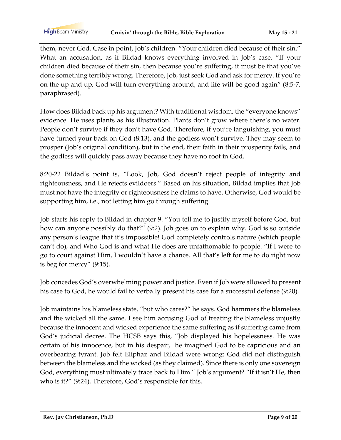them, never God. Case in point, Job's children. "Your children died because of their sin." What an accusation, as if Bildad knows everything involved in Job's case. "If your children died because of their sin, then because you're suffering, it must be that you've done something terribly wrong. Therefore, Job, just seek God and ask for mercy. If you're on the up and up, God will turn everything around, and life will be good again" (8:5-7, paraphrased).

How does Bildad back up his argument? With traditional wisdom, the "everyone knows" evidence. He uses plants as his illustration. Plants don't grow where there's no water. People don't survive if they don't have God. Therefore, if you're languishing, you must have turned your back on God (8:13), and the godless won't survive. They may seem to prosper (Job's original condition), but in the end, their faith in their prosperity fails, and the godless will quickly pass away because they have no root in God.

8:20-22 Bildad's point is, "Look, Job, God doesn't reject people of integrity and righteousness, and He rejects evildoers." Based on his situation, Bildad implies that Job must not have the integrity or righteousness he claims to have. Otherwise, God would be supporting him, i.e., not letting him go through suffering.

Job starts his reply to Bildad in chapter 9. "You tell me to justify myself before God, but how can anyone possibly do that?" (9:2). Job goes on to explain why. God is so outside any person's league that it's impossible! God completely controls nature (which people can't do), and Who God is and what He does are unfathomable to people. "If I were to go to court against Him, I wouldn't have a chance. All that's left for me to do right now is beg for mercy" (9:15).

Job concedes God's overwhelming power and justice. Even if Job were allowed to present his case to God, he would fail to verbally present his case for a successful defense (9:20).

Job maintains his blameless state, "but who cares?" he says. God hammers the blameless and the wicked all the same. I see him accusing God of treating the blameless unjustly because the innocent and wicked experience the same suffering as if suffering came from God's judicial decree. The HCSB says this, "Job displayed his hopelessness. He was certain of his innocence, but in his despair, he imagined God to be capricious and an overbearing tyrant. Job felt Eliphaz and Bildad were wrong: God did not distinguish between the blameless and the wicked (as they claimed). Since there is only one sovereign God, everything must ultimately trace back to Him." Job's argument? "If it isn't He, then who is it?" (9:24). Therefore, God's responsible for this.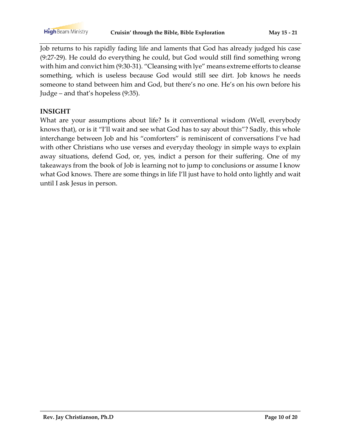Job returns to his rapidly fading life and laments that God has already judged his case (9:27-29). He could do everything he could, but God would still find something wrong with him and convict him (9:30-31). "Cleansing with lye" means extreme efforts to cleanse something, which is useless because God would still see dirt. Job knows he needs someone to stand between him and God, but there's no one. He's on his own before his Judge – and that's hopeless (9:35).

### **INSIGHT**

What are your assumptions about life? Is it conventional wisdom (Well, everybody knows that), or is it "I'll wait and see what God has to say about this"? Sadly, this whole interchange between Job and his "comforters" is reminiscent of conversations I've had with other Christians who use verses and everyday theology in simple ways to explain away situations, defend God, or, yes, indict a person for their suffering. One of my takeaways from the book of Job is learning not to jump to conclusions or assume I know what God knows. There are some things in life I'll just have to hold onto lightly and wait until I ask Jesus in person.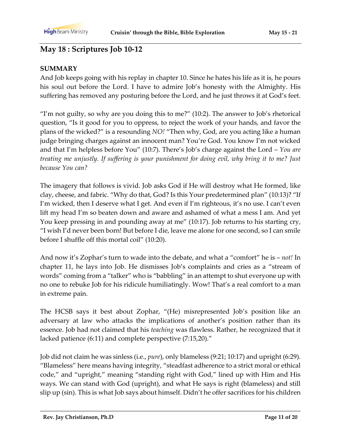## **May 18 : Scriptures Job 10-12**

### **SUMMARY**

And Job keeps going with his replay in chapter 10. Since he hates his life as it is, he pours his soul out before the Lord. I have to admire Job's honesty with the Almighty. His suffering has removed any posturing before the Lord, and he just throws it at God's feet.

"I'm not guilty, so why are you doing this to me?" (10:2). The answer to Job's rhetorical question, "Is it good for you to oppress, to reject the work of your hands, and favor the plans of the wicked?" is a resounding *NO!* "Then why, God, are you acting like a human judge bringing charges against an innocent man? You're God. You know I'm not wicked and that I'm helpless before You" (10:7). There's Job's charge against the Lord – *You are treating me unjustly. If suffering is your punishment for doing evil, why bring it to me? Just because You can?*

The imagery that follows is vivid. Job asks God if He will destroy what He formed, like clay, cheese, and fabric. "Why do that, God? Is this Your predetermined plan" (10:13)? "If I'm wicked, then I deserve what I get. And even if I'm righteous, it's no use. I can't even lift my head I'm so beaten down and aware and ashamed of what a mess I am. And yet You keep pressing in and pounding away at me" (10:17). Job returns to his starting cry, "I wish I'd never been born! But before I die, leave me alone for one second, so I can smile before I shuffle off this mortal coil" (10:20).

And now it's Zophar's turn to wade into the debate, and what a "comfort" he is – *not!* In chapter 11, he lays into Job. He dismisses Job's complaints and cries as a "stream of words" coming from a "talker" who is "babbling" in an attempt to shut everyone up with no one to rebuke Job for his ridicule humiliatingly. Wow! That's a real comfort to a man in extreme pain.

The HCSB says it best about Zophar, "(He) misrepresented Job's position like an adversary at law who attacks the implications of another's position rather than its essence. Job had not claimed that his *teaching* was flawless. Rather, he recognized that it lacked patience (6:11) and complete perspective (7:15,20)."

Job did not claim he was sinless (i.e., *pure*), only blameless (9:21; 10:17) and upright (6:29). "Blameless" here means having integrity, "steadfast adherence to a strict moral or ethical code," and "upright," meaning "standing right with God," lined up with Him and His ways. We can stand with God (upright), and what He says is right (blameless) and still slip up (sin). This is what Job says about himself. Didn't he offer sacrifices for his children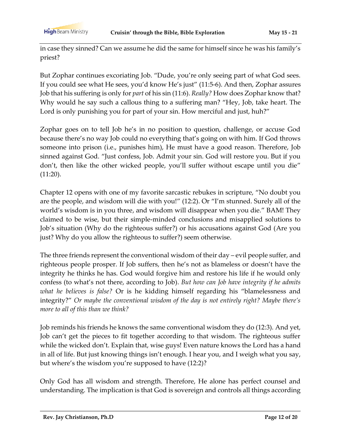in case they sinned? Can we assume he did the same for himself since he was his family's priest?

But Zophar continues excoriating Job. "Dude, you're only seeing part of what God sees. If you could see what He sees, you'd know He's just" (11:5-6). And then, Zophar assures Job that his suffering is only for *part* of his sin (11:6). *Really?* How does Zophar know that? Why would he say such a callous thing to a suffering man? "Hey, Job, take heart. The Lord is only punishing you for part of your sin. How merciful and just, huh?"

Zophar goes on to tell Job he's in no position to question, challenge, or accuse God because there's no way Job could no everything that's going on with him. If God throws someone into prison (i.e., punishes him), He must have a good reason. Therefore, Job sinned against God. "Just confess, Job. Admit your sin. God will restore you. But if you don't, then like the other wicked people, you'll suffer without escape until you die" (11:20).

Chapter 12 opens with one of my favorite sarcastic rebukes in scripture, "No doubt you are the people, and wisdom will die with you!" (12:2). Or "I'm stunned. Surely all of the world's wisdom is in you three, and wisdom will disappear when you die." BAM! They claimed to be wise, but their simple-minded conclusions and misapplied solutions to Job's situation (Why do the righteous suffer?) or his accusations against God (Are you just? Why do you allow the righteous to suffer?) seem otherwise.

The three friends represent the conventional wisdom of their day – evil people suffer, and righteous people prosper. If Job suffers, then he's not as blameless or doesn't have the integrity he thinks he has. God would forgive him and restore his life if he would only confess (to what's not there, according to Job). *But how can Job have integrity if he admits what he believes is false?* Or is he kidding himself regarding his "blamelessness and integrity?" *Or maybe the conventional wisdom of the day is not entirely right? Maybe there's more to all of this than we think?*

Job reminds his friends he knows the same conventional wisdom they do (12:3). And yet, Job can't get the pieces to fit together according to that wisdom. The righteous suffer while the wicked don't. Explain that, wise guys! Even nature knows the Lord has a hand in all of life. But just knowing things isn't enough. I hear you, and I weigh what you say, but where's the wisdom you're supposed to have (12:2)?

Only God has all wisdom and strength. Therefore, He alone has perfect counsel and understanding. The implication is that God is sovereign and controls all things according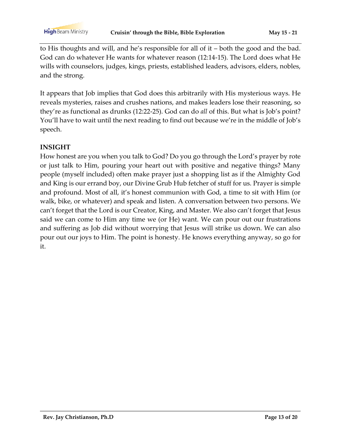to His thoughts and will, and he's responsible for all of it – both the good and the bad. God can do whatever He wants for whatever reason (12:14-15). The Lord does what He wills with counselors, judges, kings, priests, established leaders, advisors, elders, nobles, and the strong.

It appears that Job implies that God does this arbitrarily with His mysterious ways. He reveals mysteries, raises and crushes nations, and makes leaders lose their reasoning, so they're as functional as drunks (12:22-25). God can do *all* of this. But what is Job's point? You'll have to wait until the next reading to find out because we're in the middle of Job's speech.

#### **INSIGHT**

How honest are you when you talk to God? Do you go through the Lord's prayer by rote or just talk to Him, pouring your heart out with positive and negative things? Many people (myself included) often make prayer just a shopping list as if the Almighty God and King is our errand boy, our Divine Grub Hub fetcher of stuff for us. Prayer is simple and profound. Most of all, it's honest communion with God, a time to sit with Him (or walk, bike, or whatever) and speak and listen. A conversation between two persons. We can't forget that the Lord is our Creator, King, and Master. We also can't forget that Jesus said we can come to Him any time we (or He) want. We can pour out our frustrations and suffering as Job did without worrying that Jesus will strike us down. We can also pour out our joys to Him. The point is honesty. He knows everything anyway, so go for it.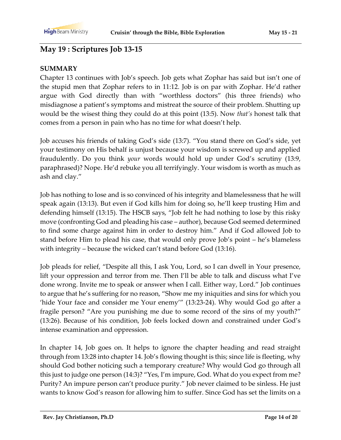## **May 19 : Scriptures Job 13-15**

#### **SUMMARY**

Chapter 13 continues with Job's speech. Job gets what Zophar has said but isn't one of the stupid men that Zophar refers to in 11:12. Job is on par with Zophar. He'd rather argue with God directly than with "worthless doctors" (his three friends) who misdiagnose a patient's symptoms and mistreat the source of their problem. Shutting up would be the wisest thing they could do at this point (13:5). Now *that's* honest talk that comes from a person in pain who has no time for what doesn't help.

Job accuses his friends of taking God's side (13:7). "You stand there on God's side, yet your testimony on His behalf is unjust because your wisdom is screwed up and applied fraudulently. Do you think *your* words would hold up under God's scrutiny (13:9, paraphrased)? Nope. He'd rebuke you all terrifyingly. Your wisdom is worth as much as ash and clay."

Job has nothing to lose and is so convinced of his integrity and blamelessness that he will speak again (13:13). But even if God kills him for doing so, he'll keep trusting Him and defending himself (13:15). The HSCB says, "Job felt he had nothing to lose by this risky move (confronting God and pleading his case – author), because God seemed determined to find some charge against him in order to destroy him." And if God allowed Job to stand before Him to plead his case, that would only prove Job's point – he's blameless with integrity – because the wicked can't stand before God (13:16).

Job pleads for relief, "Despite all this, I ask You, Lord, so I can dwell in Your presence, lift your oppression and terror from me. Then I'll be able to talk and discuss what I've done wrong. Invite me to speak or answer when I call. Either way, Lord." Job continues to argue that he's suffering for no reason, "Show me my iniquities and sins for which you 'hide Your face and consider me Your enemy'" (13:23-24). Why would God go after a fragile person? "Are you punishing me due to some record of the sins of my youth?" (13:26). Because of his condition, Job feels locked down and constrained under God's intense examination and oppression.

In chapter 14, Job goes on. It helps to ignore the chapter heading and read straight through from 13:28 into chapter 14. Job's flowing thought is this; since life is fleeting, why should God bother noticing such a temporary creature? Why would God go through all this just to judge one person (14:3)? "Yes, I'm impure, God. What do you expect from me? Purity? An impure person can't produce purity." Job never claimed to be sinless. He just wants to know God's reason for allowing him to suffer. Since God has set the limits on a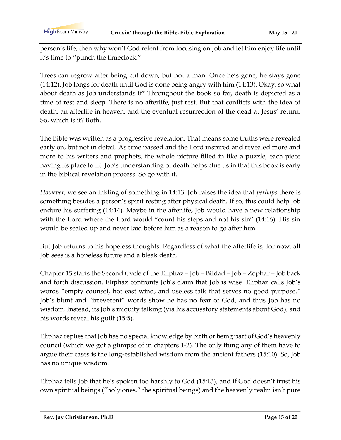person's life, then why won't God relent from focusing on Job and let him enjoy life until it's time to "punch the timeclock."

Trees can regrow after being cut down, but not a man. Once he's gone, he stays gone (14:12). Job longs for death until God is done being angry with him (14:13). Okay, so what about death as Job understands it? Throughout the book so far, death is depicted as a time of rest and sleep. There is no afterlife, just rest. But that conflicts with the idea of death, an afterlife in heaven, and the eventual resurrection of the dead at Jesus' return. So, which is it? Both.

The Bible was written as a progressive revelation. That means some truths were revealed early on, but not in detail. As time passed and the Lord inspired and revealed more and more to his writers and prophets, the whole picture filled in like a puzzle, each piece having its place to fit. Job's understanding of death helps clue us in that this book is early in the biblical revelation process. So go with it.

*However*, we see an inkling of something in 14:13! Job raises the idea that *perhaps* there is something besides a person's spirit resting after physical death. If so, this could help Job endure his suffering (14:14). Maybe in the afterlife, Job would have a new relationship with the Lord where the Lord would "count his steps and not his sin" (14:16). His sin would be sealed up and never laid before him as a reason to go after him.

But Job returns to his hopeless thoughts. Regardless of what the afterlife is, for now, all Job sees is a hopeless future and a bleak death.

Chapter 15 starts the Second Cycle of the Eliphaz – Job – Bildad – Job – Zophar – Job back and forth discussion. Eliphaz confronts Job's claim that Job is wise. Eliphaz calls Job's words "empty counsel, hot east wind, and useless talk that serves no good purpose." Job's blunt and "irreverent" words show he has no fear of God, and thus Job has no wisdom. Instead, its Job's iniquity talking (via his accusatory statements about God), and his words reveal his guilt (15:5).

Eliphaz replies that Job has no special knowledge by birth or being part of God's heavenly council (which we got a glimpse of in chapters 1-2). The only thing any of them have to argue their cases is the long-established wisdom from the ancient fathers (15:10). So, Job has no unique wisdom.

Eliphaz tells Job that he's spoken too harshly to God (15:13), and if God doesn't trust his own spiritual beings ("holy ones," the spiritual beings) and the heavenly realm isn't pure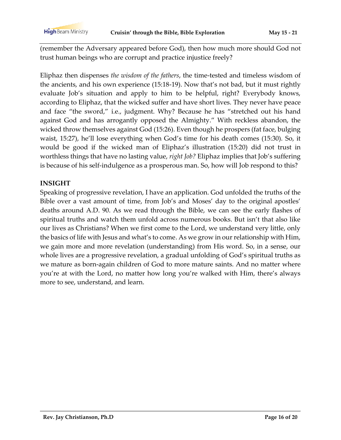**High** Beam Ministry

(remember the Adversary appeared before God), then how much more should God not trust human beings who are corrupt and practice injustice freely?

Eliphaz then dispenses *the wisdom of the fathers*, the time-tested and timeless wisdom of the ancients, and his own experience (15:18-19). Now that's not bad, but it must rightly evaluate Job's situation and apply to him to be helpful, right? Everybody knows, according to Eliphaz, that the wicked suffer and have short lives. They never have peace and face "the sword," i.e., judgment. Why? Because he has "stretched out his hand against God and has arrogantly opposed the Almighty." With reckless abandon, the wicked throw themselves against God (15:26). Even though he prospers (fat face, bulging waist, 15:27), he'll lose everything when God's time for his death comes (15:30). So, it would be good if the wicked man of Eliphaz's illustration (15:20) did not trust in worthless things that have no lasting value, *right Job?* Eliphaz implies that Job's suffering is because of his self-indulgence as a prosperous man. So, how will Job respond to this?

### **INSIGHT**

Speaking of progressive revelation, I have an application. God unfolded the truths of the Bible over a vast amount of time, from Job's and Moses' day to the original apostles' deaths around A.D. 90. As we read through the Bible, we can see the early flashes of spiritual truths and watch them unfold across numerous books. But isn't that also like our lives as Christians? When we first come to the Lord, we understand very little, only the basics of life with Jesus and what's to come. As we grow in our relationship with Him, we gain more and more revelation (understanding) from His word. So, in a sense, our whole lives are a progressive revelation, a gradual unfolding of God's spiritual truths as we mature as born-again children of God to more mature saints. And no matter where you're at with the Lord, no matter how long you're walked with Him, there's always more to see, understand, and learn.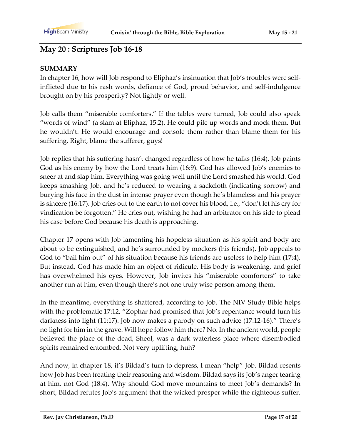## **May 20 : Scriptures Job 16-18**

#### **SUMMARY**

In chapter 16, how will Job respond to Eliphaz's insinuation that Job's troubles were selfinflicted due to his rash words, defiance of God, proud behavior, and self-indulgence brought on by his prosperity? Not lightly or well.

Job calls them "miserable comforters." If the tables were turned, Job could also speak "words of wind" (a slam at Eliphaz, 15:2). He could pile up words and mock them. But he wouldn't. He would encourage and console them rather than blame them for his suffering. Right, blame the sufferer, guys!

Job replies that his suffering hasn't changed regardless of how he talks (16:4). Job paints God as his enemy by how the Lord treats him (16:9). God has allowed Job's enemies to sneer at and slap him. Everything was going well until the Lord smashed his world. God keeps smashing Job, and he's reduced to wearing a sackcloth (indicating sorrow) and burying his face in the dust in intense prayer even though he's blameless and his prayer is sincere (16:17). Job cries out to the earth to not cover his blood, i.e., "don't let his cry for vindication be forgotten." He cries out, wishing he had an arbitrator on his side to plead his case before God because his death is approaching.

Chapter 17 opens with Job lamenting his hopeless situation as his spirit and body are about to be extinguished, and he's surrounded by mockers (his friends). Job appeals to God to "bail him out" of his situation because his friends are useless to help him (17:4). But instead, God has made him an object of ridicule. His body is weakening, and grief has overwhelmed his eyes. However, Job invites his "miserable comforters" to take another run at him, even though there's not one truly wise person among them.

In the meantime, everything is shattered, according to Job. The NIV Study Bible helps with the problematic 17:12, "Zophar had promised that Job's repentance would turn his darkness into light (11:17). Job now makes a parody on such advice (17:12-16)." There's no light for him in the grave. Will hope follow him there? No. In the ancient world, people believed the place of the dead, Sheol, was a dark waterless place where disembodied spirits remained entombed. Not very uplifting, huh?

And now, in chapter 18, it's Bildad's turn to depress, I mean "help" Job. Bildad resents how Job has been treating their reasoning and wisdom. Bildad says its Job's anger tearing at him, not God (18:4). Why should God move mountains to meet Job's demands? In short, Bildad refutes Job's argument that the wicked prosper while the righteous suffer.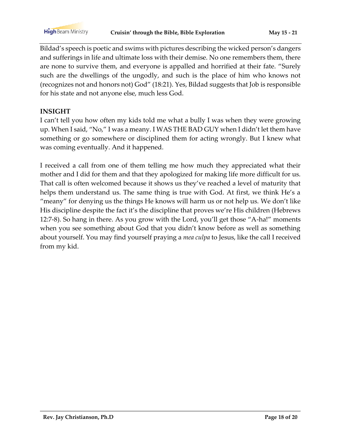Bildad's speech is poetic and swims with pictures describing the wicked person's dangers and sufferings in life and ultimate loss with their demise. No one remembers them, there are none to survive them, and everyone is appalled and horrified at their fate. "Surely such are the dwellings of the ungodly, and such is the place of him who knows not (recognizes not and honors not) God" (18:21). Yes, Bildad suggests that Job is responsible for his state and not anyone else, much less God.

### **INSIGHT**

I can't tell you how often my kids told me what a bully I was when they were growing up. When I said, "No," I was a meany. I WAS THE BAD GUY when I didn't let them have something or go somewhere or disciplined them for acting wrongly. But I knew what was coming eventually. And it happened.

I received a call from one of them telling me how much they appreciated what their mother and I did for them and that they apologized for making life more difficult for us. That call is often welcomed because it shows us they've reached a level of maturity that helps them understand us. The same thing is true with God. At first, we think He's a "meany" for denying us the things He knows will harm us or not help us. We don't like His discipline despite the fact it's the discipline that proves we're His children (Hebrews 12:7-8). So hang in there. As you grow with the Lord, you'll get those "A-ha!" moments when you see something about God that you didn't know before as well as something about yourself. You may find yourself praying a *mea culpa* to Jesus, like the call I received from my kid.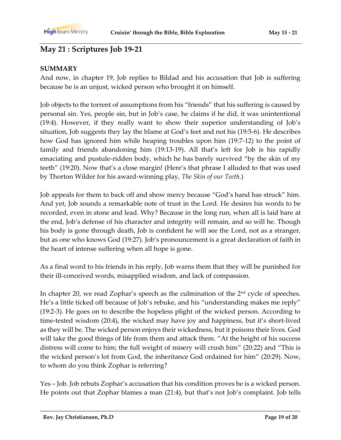# **May 21 : Scriptures Job 19-21**

### **SUMMARY**

And now, in chapter 19, Job replies to Bildad and his accusation that Job is suffering because he is an unjust, wicked person who brought it on himself.

Job objects to the torrent of assumptions from his "friends" that his suffering is caused by personal sin. Yes, people sin, but in Job's case, he claims if he did, it was unintentional (19:4). However, if they really want to show their superior understanding of Job's situation, Job suggests they lay the blame at God's feet and not his (19:5-6). He describes how God has ignored him while heaping troubles upon him (19:7-12) to the point of family and friends abandoning him (19:13-19). All that's left for Job is his rapidly emaciating and pustule-ridden body, which he has barely survived "by the skin of my teeth" (19:20). Now that's a close margin! (Here's that phrase I alluded to that was used by Thorton Wilder for his award-winning play, *The Skin of our Teeth.*)

Job appeals for them to back off and show mercy because "God's hand has struck" him. And yet, Job sounds a remarkable note of trust in the Lord. He desires his words to be recorded, even in stone and lead. Why? Because in the long run, when all is laid bare at the end, Job's defense of his character and integrity will remain, and so will he. Though his body is gone through death, Job is confident he will see the Lord, not as a stranger, but as one who knows God (19:27). Job's pronouncement is a great declaration of faith in the heart of intense suffering when all hope is gone.

As a final word to his friends in his reply, Job warns them that they will be punished for their ill-conceived words, misapplied wisdom, and lack of compassion.

In chapter 20, we read Zophar's speech as the culmination of the 2<sup>nd</sup> cycle of speeches. He's a little ticked off because of Job's rebuke, and his "understanding makes me reply" (19:2-3). He goes on to describe the hopeless plight of the wicked person. According to time-tested wisdom (20:4), the wicked may have joy and happiness, but it's short-lived as they will be. The wicked person enjoys their wickedness, but it poisons their lives. God will take the good things of life from them and attack them. "At the height of his success distress will come to him; the full weight of misery will crush him" (20:22) and "This is the wicked person's lot from God, the inheritance God ordained for him" (20:29). Now, to whom do you think Zophar is referring?

Yes – Job. Job rebuts Zophar's accusation that his condition proves he is a wicked person. He points out that Zophar blames a man (21:4), but that's not Job's complaint. Job tells